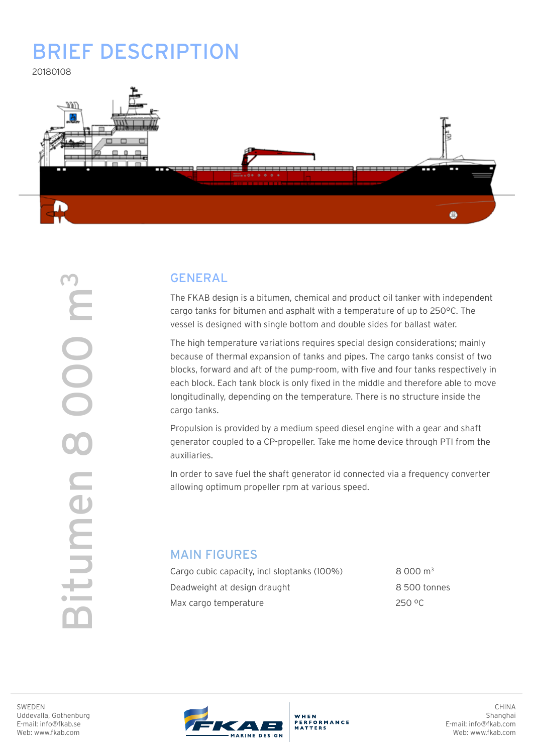# Brief description

20180108



# GENERAL

The FKAB design is a bitumen, chemical and product oil tanker with independent cargo tanks for bitumen and asphalt with a temperature of up to 250°C. The vessel is designed with single bottom and double sides for ballast water.

The high temperature variations requires special design considerations; mainly because of thermal expansion of tanks and pipes. The cargo tanks consist of two blocks, forward and aft of the pump-room, with five and four tanks respectively in each block. Each tank block is only fixed in the middle and therefore able to move longitudinally, depending on the temperature. There is no structure inside the cargo tanks.

Propulsion is provided by a medium speed diesel engine with a gear and shaft generator coupled to a CP-propeller. Take me home device through PTI from the auxiliaries.

In order to save fuel the shaft generator id connected via a frequency converter allowing optimum propeller rpm at various speed.

## MAIN FIGURES

Cargo cubic capacity, incl sloptanks (100%) 8 000 m<sup>3</sup> Deadweight at design draught example and the Southern B 500 tonnes Max cargo temperature 250 °C

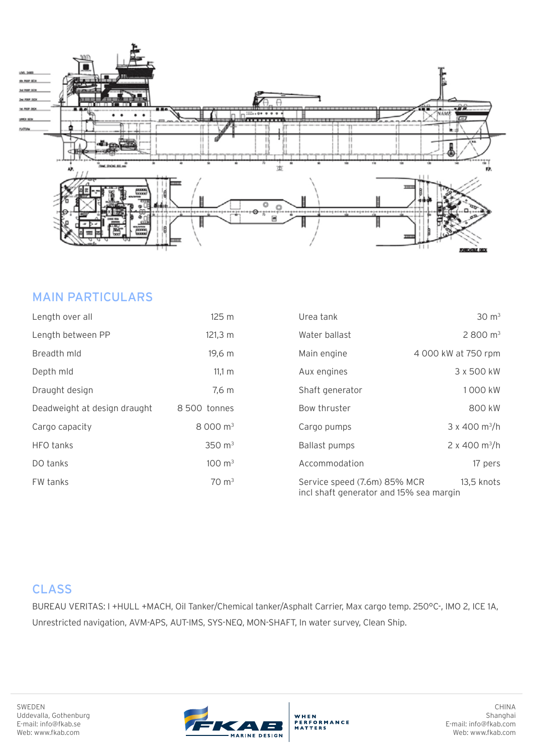

## MAIN PARTICULARS

| Length over all              | 125 <sub>m</sub>     | Urea tank                                                                             | $30 \text{ m}^3$                 |
|------------------------------|----------------------|---------------------------------------------------------------------------------------|----------------------------------|
| Length between PP            | $121,3 \, m$         | Water ballast                                                                         | 2800 m <sup>3</sup>              |
| Breadth mld                  | 19,6 m               | Main engine                                                                           | 4 000 kW at 750 rpm              |
| Depth mld                    | 11,1 m               | Aux engines                                                                           | 3 x 500 kW                       |
| Draught design               | 7,6 m                | Shaft generator                                                                       | 1000 kW                          |
| Deadweight at design draught | 8 500 tonnes         | Bow thruster                                                                          | 800 kW                           |
| Cargo capacity               | 8 000 m <sup>3</sup> | Cargo pumps                                                                           | $3 \times 400$ m <sup>3</sup> /h |
| HFO tanks                    | 350 $\, \text{m}^3$  | <b>Ballast pumps</b>                                                                  | 2 x 400 m <sup>3</sup> /h        |
| DO tanks                     | $100 \; \text{m}^3$  | Accommodation                                                                         | 17 pers                          |
| FW tanks                     | $70 \text{ m}^3$     | 13,5 knots<br>Service speed (7.6m) 85% MCR<br>incl shaft generator and 15% sea margin |                                  |

# **CLASS**

BUREAU VERITAS: I +HULL +MACH, Oil Tanker/Chemical tanker/Asphalt Carrier, Max cargo temp. 250°C-, IMO 2, ICE 1A, Unrestricted navigation, AVM-APS, AUT-IMS, SYS-NEQ, MON-SHAFT, In water survey, Clean Ship.

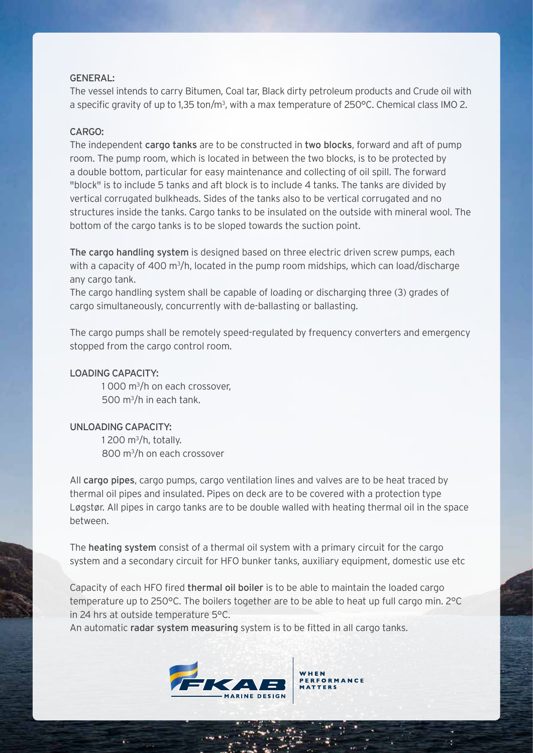#### $GENFRAI:$

The vessel intends to carry Bitumen, Coal tar, Black dirty petroleum products and Crude oil with a specific gravity of up to 1,35 ton/m<sup>3</sup>, with a max temperature of 250°C. Chemical class IMO 2.

## $CARGO$

The independent cargo tanks are to be constructed in two blocks, forward and aft of pump room. The pump room, which is located in between the two blocks, is to be protected by a double bottom, particular for easy maintenance and collecting of oil spill. The forward "block" is to include 5 tanks and aft block is to include 4 tanks. The tanks are divided by vertical corrugated bulkheads. Sides of the tanks also to be vertical corrugated and no structures inside the tanks. Cargo tanks to be insulated on the outside with mineral wool. The bottom of the cargo tanks is to be sloped towards the suction point.

The cargo handling system is designed based on three electric driven screw pumps, each with a capacity of 400 m<sup>3</sup>/h, located in the pump room midships, which can load/discharge any cargo tank.

The cargo handling system shall be capable of loading or discharging three (3) grades of cargo simultaneously, concurrently with de-ballasting or ballasting.

The cargo pumps shall be remotely speed-regulated by frequency converters and emergency stopped from the cargo control room.

#### Loading capacity:

1 000 m3 /h on each crossover, 500 m<sup>3</sup>/h in each tank.

## Unloading capacity:

SWEDEN

Uddevalla, Gothenburg E-mail: info@fkab.se Web: www.fkab.com

1 200 m $^3$ /h, totally. 800 m3 /h on each crossover

All cargo pipes, cargo pumps, cargo ventilation lines and valves are to be heat traced by thermal oil pipes and insulated. Pipes on deck are to be covered with a protection type Løgstør. All pipes in cargo tanks are to be double walled with heating thermal oil in the space between.

The heating system consist of a thermal oil system with a primary circuit for the cargo system and a secondary circuit for HFO bunker tanks, auxiliary equipment, domestic use etc

Capacity of each HFO fired thermal oil boiler is to be able to maintain the loaded cargo temperature up to 250°C. The boilers together are to be able to heat up full cargo min. 2°C in 24 hrs at outside temperature 5°C.

An automatic radar system measuring system is to be fitted in all cargo tanks.



CHINA Shanghai

E-mail: info@fkab.com Web: www.fkab.com